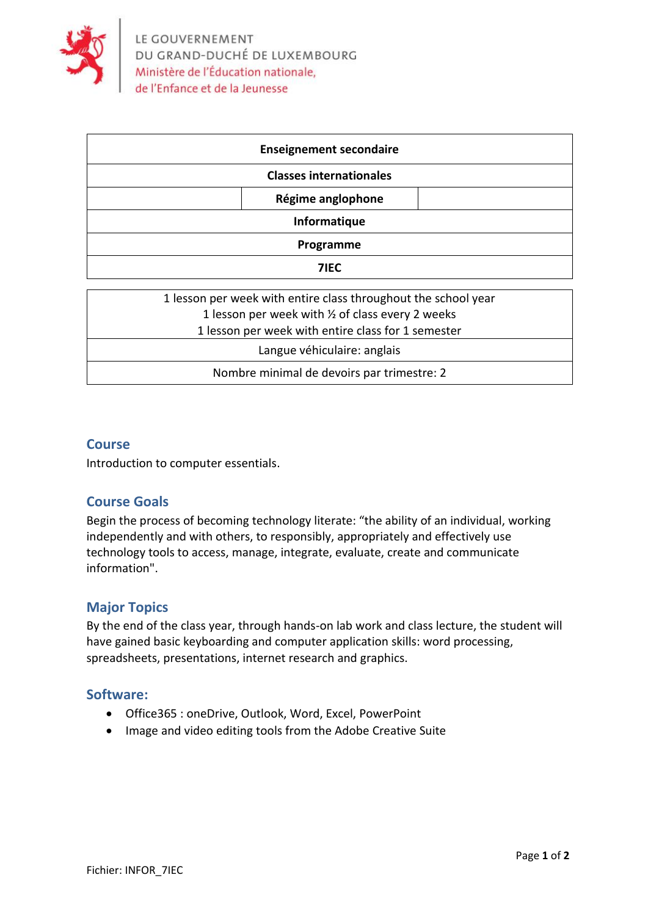

| <b>Enseignement secondaire</b> |  |  |
|--------------------------------|--|--|
| <b>Classes internationales</b> |  |  |
| Régime anglophone              |  |  |
| Informatique                   |  |  |
| Programme                      |  |  |
| 71EC                           |  |  |

#### **Course**

Introduction to computer essentials.

## **Course Goals**

Begin the process of becoming technology literate: "the ability of an individual, working independently and with others, to responsibly, appropriately and effectively use technology tools to access, manage, integrate, evaluate, create and communicate information".

# **Major Topics**

By the end of the class year, through hands-on lab work and class lecture, the student will have gained basic keyboarding and computer application skills: word processing, spreadsheets, presentations, internet research and graphics.

## **Software:**

- Office365 : oneDrive, Outlook, Word, Excel, PowerPoint
- Image and video editing tools from the Adobe Creative Suite